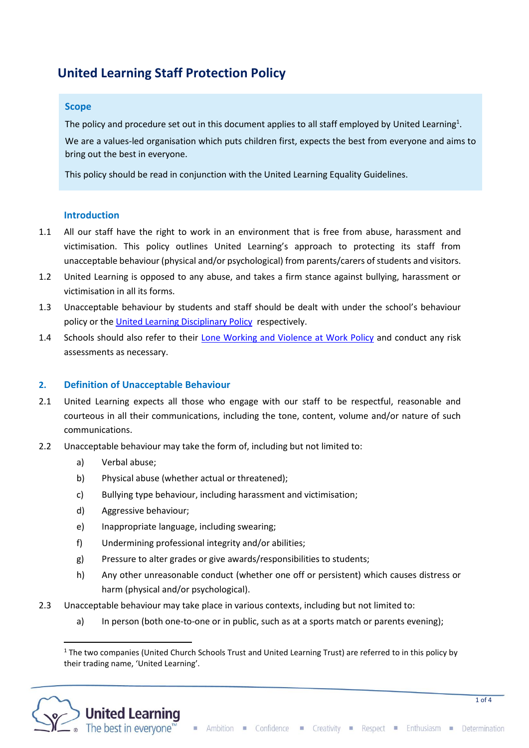# **United Learning Staff Protection Policy**

## **Scope**

The policy and procedure set out in this document applies to all staff employed by United Learning<sup>1</sup>.

We are a values-led organisation which puts children first, expects the best from everyone and aims to bring out the best in everyone.

This policy should be read in conjunction with the United Learning Equality Guidelines.

## **1ntroduction**

- 1.1 All our staff have the right to work in an environment that is free from abuse, harassment and victimisation. This policy outlines United Learning's approach to protecting its staff from unacceptable behaviour (physical and/or psychological) from parents/carers of students and visitors.
- 1.2 United Learning is opposed to any abuse, and takes a firm stance against bullying, harassment or victimisation in all its forms.
- 1.3 Unacceptable behaviour by students and staff should be dealt with under the school's behaviour policy or the [United Learning Disciplinary Policy](https://hub.unitedlearning.org.uk/sites/policies/HR%20Policies/United%20Learning%20Disciplinary%20Policy.doc) respectively.
- 1.4 Schools should also refer to their [Lone Working and Violence at Work Policy](https://hub.unitedlearning.org.uk/sites/policies/Policies/Lone%20Working%20and%20Violence%20at%20Work%20Policy.docx) and conduct any risk assessments as necessary.

# **2. Definition of Unacceptable Behaviour**

- 2.1 United Learning expects all those who engage with our staff to be respectful, reasonable and courteous in all their communications, including the tone, content, volume and/or nature of such communications.
- 2.2 Unacceptable behaviour may take the form of, including but not limited to:
	- a) Verbal abuse;
	- b) Physical abuse (whether actual or threatened);
	- c) Bullying type behaviour, including harassment and victimisation;
	- d) Aggressive behaviour;
	- e) Inappropriate language, including swearing;
	- f) Undermining professional integrity and/or abilities;
	- g) Pressure to alter grades or give awards/responsibilities to students;
	- h) Any other unreasonable conduct (whether one off or persistent) which causes distress or harm (physical and/or psychological).
- 2.3 Unacceptable behaviour may take place in various contexts, including but not limited to:
	- a) In person (both one-to-one or in public, such as at a sports match or parents evening);

 $1$  The two companies (United Church Schools Trust and United Learning Trust) are referred to in this policy by their trading name, 'United Learning'.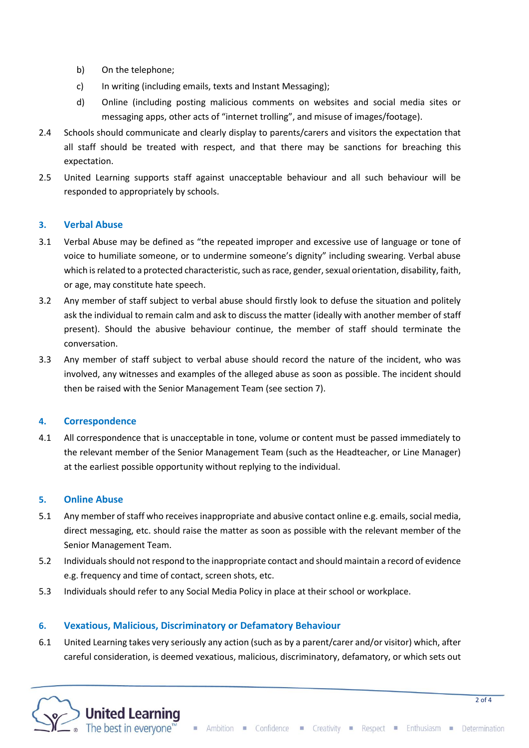- b) On the telephone;
- c) In writing (including emails, texts and Instant Messaging);
- d) Online (including posting malicious comments on websites and social media sites or messaging apps, other acts of "internet trolling", and misuse of images/footage).
- 2.4 Schools should communicate and clearly display to parents/carers and visitors the expectation that all staff should be treated with respect, and that there may be sanctions for breaching this expectation.
- 2.5 United Learning supports staff against unacceptable behaviour and all such behaviour will be responded to appropriately by schools.

## **3. Verbal Abuse**

- 3.1 Verbal Abuse may be defined as "the repeated improper and excessive use of language or tone of voice to humiliate someone, or to undermine someone's dignity" including swearing. Verbal abuse which is related to a protected characteristic, such as race, gender, sexual orientation, disability, faith, or age, may constitute hate speech.
- 3.2 Any member of staff subject to verbal abuse should firstly look to defuse the situation and politely ask the individual to remain calm and ask to discuss the matter (ideally with another member of staff present). Should the abusive behaviour continue, the member of staff should terminate the conversation.
- 3.3 Any member of staff subject to verbal abuse should record the nature of the incident, who was involved, any witnesses and examples of the alleged abuse as soon as possible. The incident should then be raised with the Senior Management Team (see section 7).

#### **4. Correspondence**

4.1 All correspondence that is unacceptable in tone, volume or content must be passed immediately to the relevant member of the Senior Management Team (such as the Headteacher, or Line Manager) at the earliest possible opportunity without replying to the individual.

#### **5. Online Abuse**

- 5.1 Any member of staff who receives inappropriate and abusive contact online e.g. emails, social media, direct messaging, etc. should raise the matter as soon as possible with the relevant member of the Senior Management Team.
- 5.2 Individualsshould not respond to the inappropriate contact and should maintain a record of evidence e.g. frequency and time of contact, screen shots, etc.
- 5.3 Individuals should refer to any Social Media Policy in place at their school or workplace.

#### **6. Vexatious, Malicious, Discriminatory or Defamatory Behaviour**

6.1 United Learning takes very seriously any action (such as by a parent/carer and/or visitor) which, after careful consideration, is deemed vexatious, malicious, discriminatory, defamatory, or which sets out

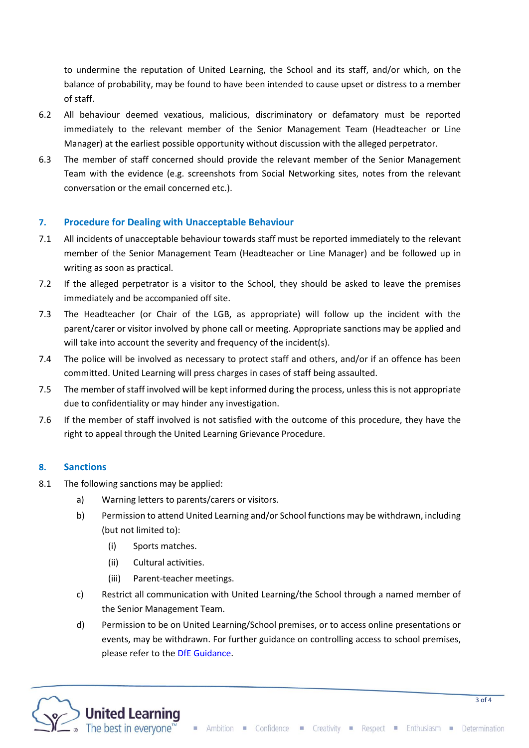to undermine the reputation of United Learning, the School and its staff, and/or which, on the balance of probability, may be found to have been intended to cause upset or distress to a member of staff.

- 6.2 All behaviour deemed vexatious, malicious, discriminatory or defamatory must be reported immediately to the relevant member of the Senior Management Team (Headteacher or Line Manager) at the earliest possible opportunity without discussion with the alleged perpetrator.
- 6.3 The member of staff concerned should provide the relevant member of the Senior Management Team with the evidence (e.g. screenshots from Social Networking sites, notes from the relevant conversation or the email concerned etc.).

# **7. Procedure for Dealing with Unacceptable Behaviour**

- 7.1 All incidents of unacceptable behaviour towards staff must be reported immediately to the relevant member of the Senior Management Team (Headteacher or Line Manager) and be followed up in writing as soon as practical.
- 7.2 If the alleged perpetrator is a visitor to the School, they should be asked to leave the premises immediately and be accompanied off site.
- 7.3 The Headteacher (or Chair of the LGB, as appropriate) will follow up the incident with the parent/carer or visitor involved by phone call or meeting. Appropriate sanctions may be applied and will take into account the severity and frequency of the incident(s).
- 7.4 The police will be involved as necessary to protect staff and others, and/or if an offence has been committed. United Learning will press charges in cases of staff being assaulted.
- 7.5 The member of staff involved will be kept informed during the process, unless this is not appropriate due to confidentiality or may hinder any investigation.
- 7.6 If the member of staff involved is not satisfied with the outcome of this procedure, they have the right to appeal through the United Learning Grievance Procedure.

# **8. Sanctions**

- 8.1 The following sanctions may be applied:
	- a) Warning letters to parents/carers or visitors.
	- b) Permission to attend United Learning and/or School functions may be withdrawn, including (but not limited to):
		- (i) Sports matches.
		- (ii) Cultural activities.
		- (iii) Parent-teacher meetings.
	- c) Restrict all communication with United Learning/the School through a named member of the Senior Management Team.
	- d) Permission to be on United Learning/School premises, or to access online presentations or events, may be withdrawn. For further guidance on controlling access to school premises, please refer to the **DfE Guidance**.